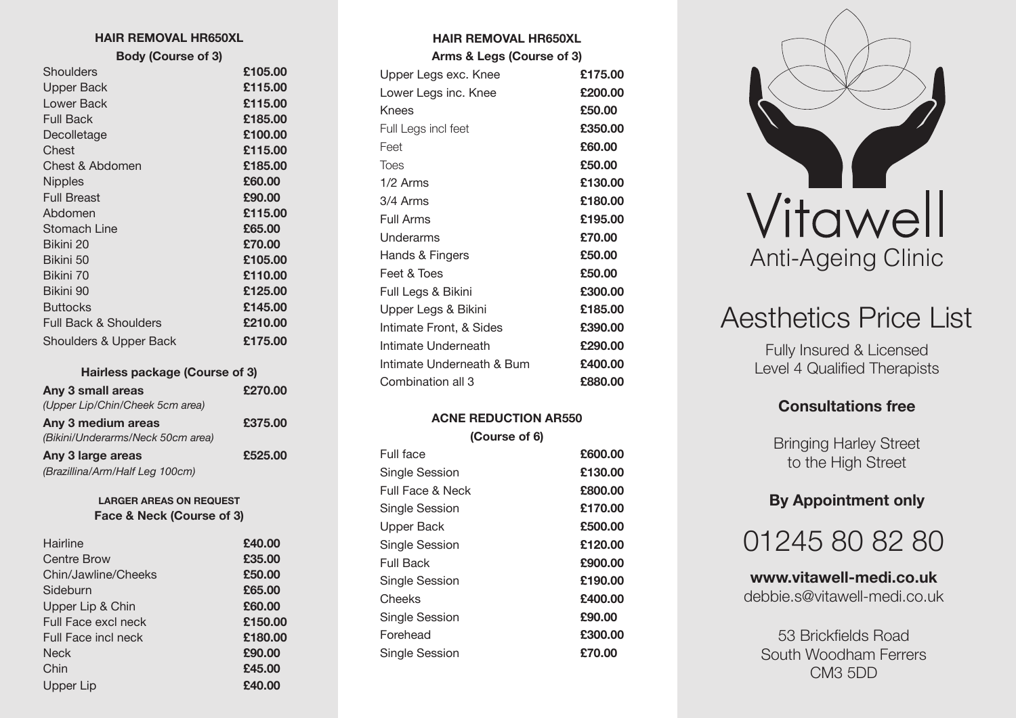#### **HAIR REMOVAL HR650XL**

**Body (Course of 3)**

| Shoulders                         | £105.00 |
|-----------------------------------|---------|
| <b>Upper Back</b>                 | £115.00 |
| Lower Back                        | £115.00 |
| <b>Full Back</b>                  | £185.00 |
| Decolletage                       | £100.00 |
| Chest                             | £115.00 |
| Chest & Abdomen                   | £185.00 |
| <b>Nipples</b>                    | £60.00  |
| <b>Full Breast</b>                | £90.00  |
| Abdomen                           | £115.00 |
| Stomach Line                      | £65.00  |
| Bikini 20                         | £70.00  |
| Bikini 50                         | £105.00 |
| Bikini 70                         | £110.00 |
| Bikini 90                         | £125.00 |
| <b>Buttocks</b>                   | £145.00 |
| <b>Full Back &amp; Shoulders</b>  | £210.00 |
| <b>Shoulders &amp; Upper Back</b> | £175.00 |

## **Hairless package (Course of 3)**

| Any 3 small areas                 | £270.00 |
|-----------------------------------|---------|
| (Upper Lip/Chin/Cheek 5cm area)   |         |
| Any 3 medium areas                | £375.00 |
| (Bikini/Underarms/Neck 50cm area) |         |
| Any 3 large areas                 | £525.00 |
| (Brazillina/Arm/Half Leg 100cm)   |         |

#### **LARGER AREAS ON REQUEST Face & Neck (Course of 3)**

| Hairline            | £40.00  |
|---------------------|---------|
| <b>Centre Brow</b>  | £35.00  |
| Chin/Jawline/Cheeks | £50.00  |
| Sideburn            | £65.00  |
| Upper Lip & Chin    | £60.00  |
| Full Face excl neck | £150.00 |
| Full Face incl neck | £180.00 |
| <b>Neck</b>         | £90.00  |
| Chin                | £45.00  |
| Upper Lip           | £40.00  |

| Arms & Legs (Course of 3) |  |  |
|---------------------------|--|--|
| £175.00                   |  |  |
| £200.00                   |  |  |
| £50.00                    |  |  |
| £350.00                   |  |  |
| £60.00                    |  |  |
| £50.00                    |  |  |
| £130.00                   |  |  |
| £180.00                   |  |  |
| £195.00                   |  |  |
| £70.00                    |  |  |
| £50.00                    |  |  |
| £50.00                    |  |  |
| £300.00                   |  |  |
| £185.00                   |  |  |
| £390.00                   |  |  |
| £290.00                   |  |  |
| £400.00                   |  |  |
| £880,00                   |  |  |
|                           |  |  |

**HAIR REMOVAL HR650XL**

## **ACNE REDUCTION AR550 (Course of 6)**

| £600.00 |
|---------|
| £130.00 |
| £800.00 |
| £170.00 |
| £500.00 |
| £120.00 |
| £900.00 |
| £190.00 |
| £400.00 |
| £90.00  |
| £300.00 |
| £70.00  |
|         |



# Aesthetics Price List

Fully Insured & Licensed Level 4 Qualified Therapists

## **Consultations free**

Bringing Harley Street to the High Street

## **By Appointment only**



**www.vitawell-medi.co.uk** debbie.s@vitawell-medi.co.uk

53 Brickfields Road South Woodham Ferrers CM3 5DD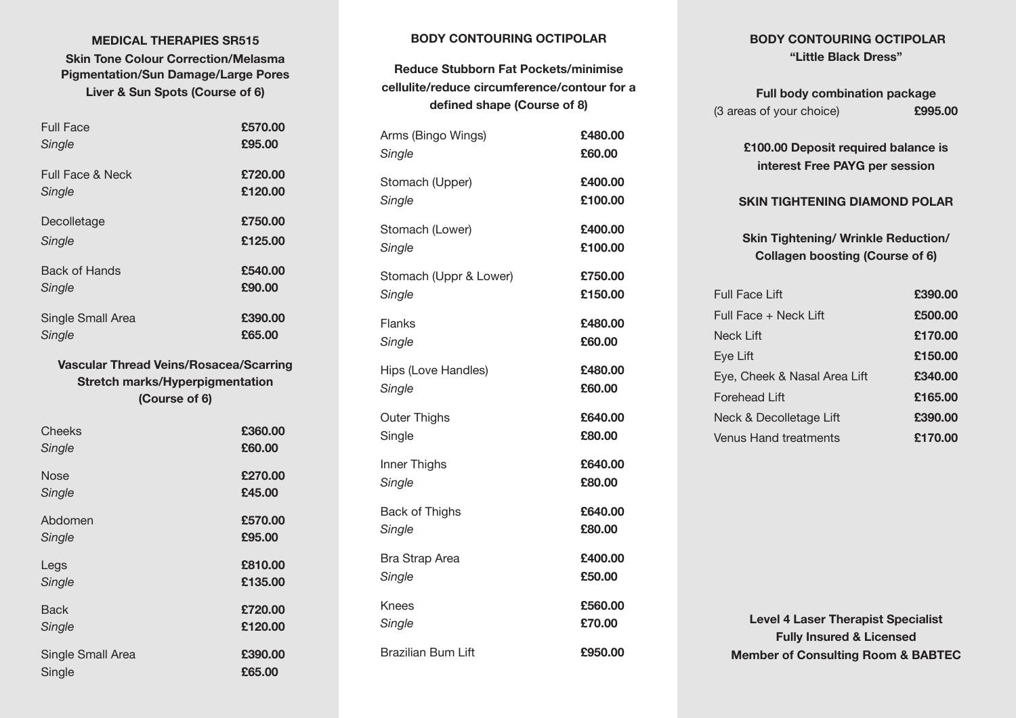## **MEDICAL THERAPIES SR515 Skin Tone Colour Correction/Melasma Pigmentation/Sun Damage/Large Pores Liver & Sun Spots (Course of 6)**

| <b>Full Face</b><br>Single                                                              | £570.00<br>£95.00  |
|-----------------------------------------------------------------------------------------|--------------------|
| <b>Full Face &amp; Neck</b><br>Single                                                   | £720.00<br>£120.00 |
| Decolletage                                                                             | £750.00            |
| Single                                                                                  | £125.00            |
| <b>Back of Hands</b><br>Single                                                          | £540.00<br>£90.00  |
| Single Small Area                                                                       | £390.00            |
| Single                                                                                  | £65.00             |
| <b>Vascular Thread Veins/Rosacea/Scarring</b><br><b>Stretch marks/Hyperpigmentation</b> |                    |

#### **(Course of 6)**

| Cheeks            | £360.00 |
|-------------------|---------|
| Single            | £60.00  |
| Nose              | £270.00 |
| Single            | £45.00  |
| Abdomen           | £570.00 |
| Single            | £95.00  |
| Legs              | £810.00 |
| Single            | £135.00 |
| Back              | £720.00 |
| Single            | £120.00 |
| Single Small Area | £390.00 |
| Single            | £65.00  |

## **BODY CONTOURING OCTIPOLAR**

**Reduce Stubborn Fat Pockets/minimise cellulite/reduce circumference/contour for a defined shape (Course of 8)**

| Arms (Bingo Wings)        | £480.00 |
|---------------------------|---------|
| Single                    | £60.00  |
| Stomach (Upper)           | £400.00 |
| Single                    | £100.00 |
| Stomach (Lower)           | £400.00 |
| Single                    | £100.00 |
| Stomach (Uppr & Lower)    | £750,00 |
| Single                    | £150.00 |
| Flanks                    | £480.00 |
| Single                    | £60.00  |
| Hips (Love Handles)       | £480.00 |
| Single                    | £60.00  |
| <b>Outer Thighs</b>       | £640.00 |
| Single                    | £80.00  |
| Inner Thighs              | £640.00 |
| Single                    | £80.00  |
| Back of Thighs            | £640.00 |
| Single                    | £80.00  |
| <b>Bra Strap Area</b>     | £400.00 |
| Single                    | £50.00  |
| Knees                     | £560.00 |
| Single                    | £70.00  |
| <b>Brazilian Bum Lift</b> | £950.00 |

## **BODY CONTOURING OCTIPOLAR "Little Black Dress"**

| <b>Full body combination package</b> |         |
|--------------------------------------|---------|
| (3 areas of your choice)             | £995.00 |

**£100.00 Deposit required balance is interest Free PAYG per session**

## **SKIN TIGHTENING DIAMOND POLAR**

**Skin Tightening/ Wrinkle Reduction/ Collagen boosting (Course of 6)**

|                                                                                                                                              | £390.00                      |
|----------------------------------------------------------------------------------------------------------------------------------------------|------------------------------|
|                                                                                                                                              | £500.00                      |
|                                                                                                                                              | £170.00                      |
|                                                                                                                                              | £150.00                      |
|                                                                                                                                              | £340.00                      |
|                                                                                                                                              | £165.00                      |
|                                                                                                                                              | £390.00                      |
|                                                                                                                                              | £170.00                      |
| Full Face Lift<br>Full Face + Neck Lift<br>Neck Lift<br>Eye Lift<br>Forehead Lift<br>Neck & Decolletage Lift<br><b>Venus Hand treatments</b> | Eye, Cheek & Nasal Area Lift |

**Level 4 Laser Therapist Specialist Fully Insured & Licensed Member of Consulting Room & BABTEC**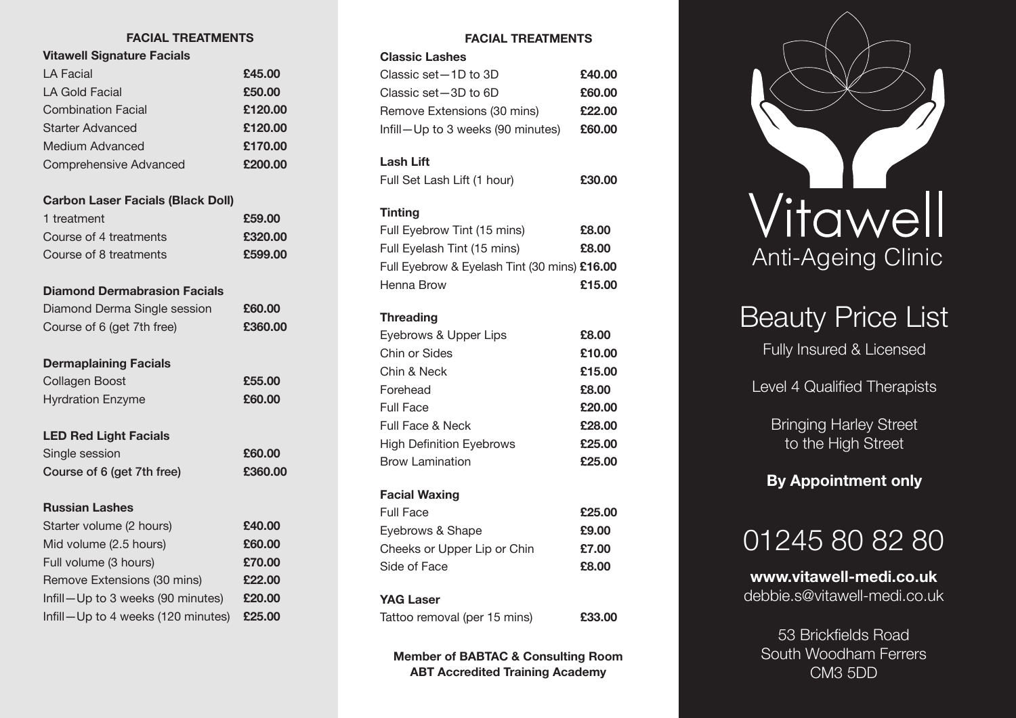## **FACIAL TREATMENTS**

## **Vitawell Signature Facials**

| LA Facial                 | £45.00  |
|---------------------------|---------|
| LA Gold Facial            | £50.00  |
| <b>Combination Facial</b> | £120.00 |
| Starter Advanced          | £120.00 |
| Medium Advanced           | £170.00 |
| Comprehensive Advanced    | £200.00 |
|                           |         |

## **Carbon Laser Facials (Black Doll)**

| 1 treatment            | £59.00  |
|------------------------|---------|
| Course of 4 treatments | £320.00 |
| Course of 8 treatments | £599.00 |

## **Diamond Dermabrasion Facials**

| Diamond Derma Single session      | £60.00  |
|-----------------------------------|---------|
| Course of 6 (get 7th free)        | £360.00 |
| <b>Dermaplaining Facials</b>      |         |
| Collagen Boost                    | £55.00  |
| <b>Hyrdration Enzyme</b>          | £60.00  |
| <b>LED Red Light Facials</b>      |         |
| Single session                    | £60.00  |
| Course of 6 (get 7th free)        | £360.00 |
| <b>Russian Lashes</b>             |         |
| Starter volume (2 hours)          | £40.00  |
| Mid volume (2.5 hours)            | £60.00  |
| Full volume (3 hours)             | £70.00  |
| Remove Extensions (30 mins)       | £22.00  |
| Infill-Up to 3 weeks (90 minutes) | £20.00  |
|                                   |         |

Infill—Up to 4 weeks (120 minutes) **£25.00**

## **FACIAL TREATMENTS**

#### **Classic Lashes**

| Classic set -1D to 3D             | £40.00 |
|-----------------------------------|--------|
| Classic set -3D to 6D             | £60.00 |
| Remove Extensions (30 mins)       | £22.00 |
| Infill-Up to 3 weeks (90 minutes) | £60.00 |

## **Lash Lift**

| Full Set Lash Lift (1 hour) | £30.00 |
|-----------------------------|--------|
|                             |        |

## **Tinting**

| Full Eyebrow Tint (15 mins)                  | £8.00  |
|----------------------------------------------|--------|
| Full Eyelash Tint (15 mins)                  | £8.00  |
| Full Eyebrow & Eyelash Tint (30 mins) £16.00 |        |
| Henna Brow                                   | £15.00 |
|                                              |        |

## **Threading**

| Eyebrows & Upper Lips           | £8.00  |
|---------------------------------|--------|
| Chin or Sides                   | £10.00 |
| Chin & Neck                     | £15.00 |
| Forehead                        | £8.00  |
| <b>Full Face</b>                | £20.00 |
| <b>Full Face &amp; Neck</b>     | £28.00 |
| <b>High Definition Eyebrows</b> | £25.00 |
| <b>Brow Lamination</b>          | £25.00 |
| <b>Facial Waxing</b>            |        |
| <b>Full Face</b>                | £25.00 |
| Eyebrows & Shape                | £9.00  |
| Cheeks or Upper Lip or Chin     | £7.00  |
| Side of Face                    | £8.00  |
| <b>YAG Laser</b>                |        |
| Tattoo removal (per 15 mins)    | £33.00 |

**Member of BABTAC & Consulting Room ABT Accredited Training Academy**



## Beauty Price List

Fully Insured & Licensed

Level 4 Qualified Therapists

Bringing Harley Street to the High Street

## **By Appointment only**

## 01245 80 82 80

**www.vitawell-medi.co.uk** debbie.s@vitawell-medi.co.uk

53 Brickfields Road South Woodham Ferrers CM3 5DD